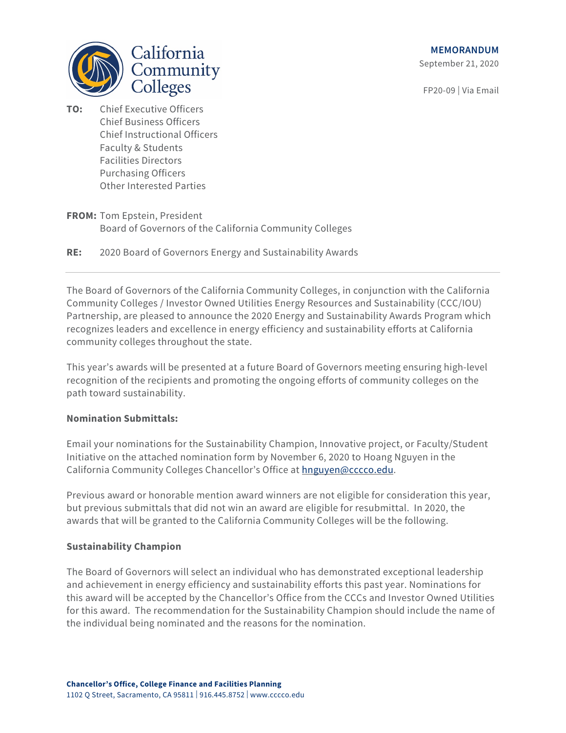**MEMORANDUM**

September 21, 2020

FP20-09 | Via Email



- **TO:** Chief Executive Officers Chief Business Officers Chief Instructional Officers Faculty & Students Facilities Directors Purchasing Officers Other Interested Parties
- **FROM:** Tom Epstein, President Board of Governors of the California Community Colleges
- **RE:** 2020 Board of Governors Energy and Sustainability Awards

The Board of Governors of the California Community Colleges, in conjunction with the California Community Colleges / Investor Owned Utilities Energy Resources and Sustainability (CCC/IOU) Partnership, are pleased to announce the 2020 Energy and Sustainability Awards Program which recognizes leaders and excellence in energy efficiency and sustainability efforts at California community colleges throughout the state.

This year's awards will be presented at a future Board of Governors meeting ensuring high-level recognition of the recipients and promoting the ongoing efforts of community colleges on the path toward sustainability.

# **Nomination Submittals:**

Email your nominations for the Sustainability Champion, Innovative project, or Faculty/Student Initiative on the attached nomination form by November 6, 2020 to Hoang Nguyen in the California Community Colleges Chancellor's Office a[t hnguyen@cccco.edu.](mailto:hnguyen@cccco.edu)

Previous award or honorable mention award winners are not eligible for consideration this year, but previous submittals that did not win an award are eligible for resubmittal. In 2020, the awards that will be granted to the California Community Colleges will be the following.

# **Sustainability Champion**

The Board of Governors will select an individual who has demonstrated exceptional leadership and achievement in energy efficiency and sustainability efforts this past year. Nominations for this award will be accepted by the Chancellor's Office from the CCCs and Investor Owned Utilities for this award. The recommendation for the Sustainability Champion should include the name of the individual being nominated and the reasons for the nomination.